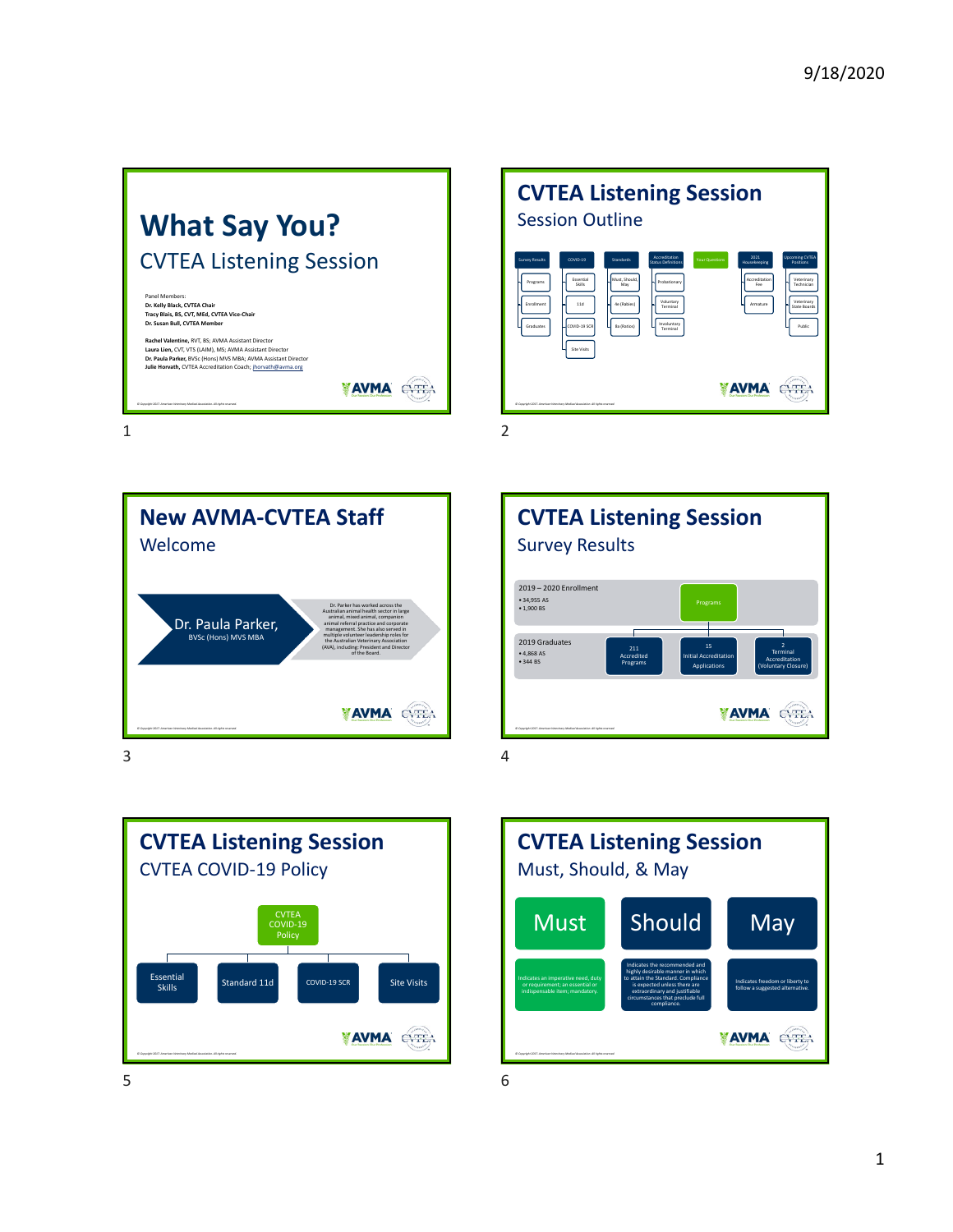



**New AVMA‐CVTEA Staff** Welcome Dr. Parker has worked across the Australian animal health sector in large animal, mixed animal, companion Dr. Paula Parker, animal referral practice and corporate management. She has also served in BVSc (Hons) MVS MBA multiple volunteer leadership roles for the Australian Veterinary Association (AVA), including: President and Director of the Board. **AVMA** EYEA  $3<sup>4</sup>$ 





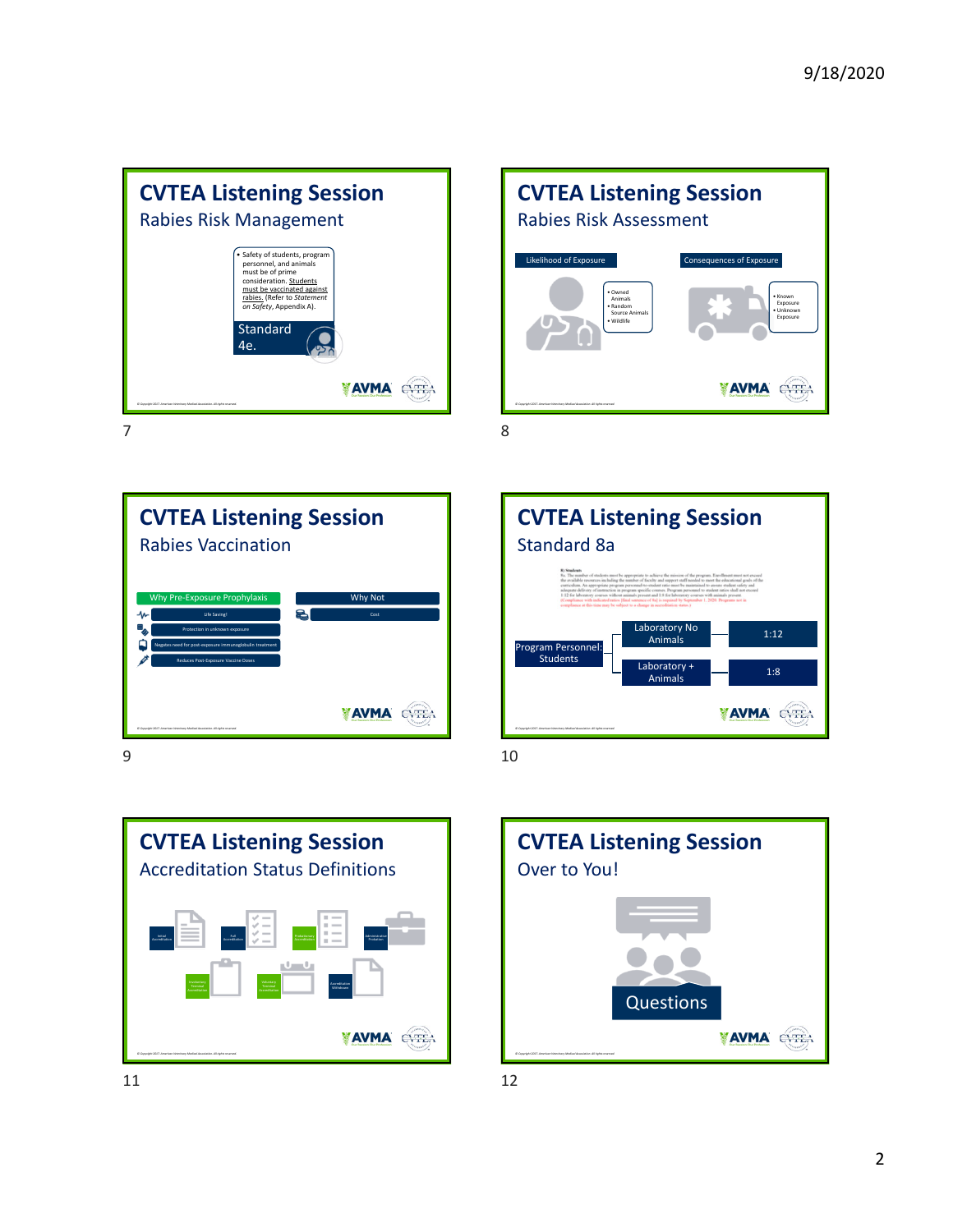